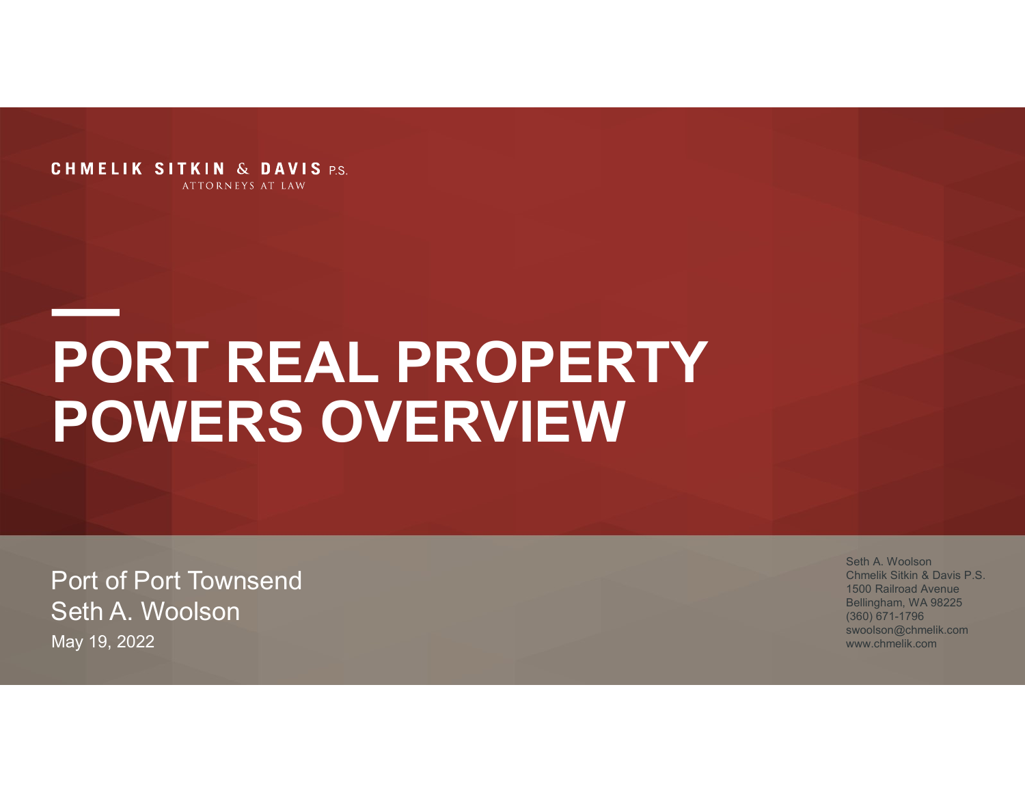**CHMELIK SITKIN & DAVIS P.S.** ATTORNEYS AT LAW

### PORT REAL PROPERTY POWERS OVERVIEW

Port of Port Townsend Seth A. Woolson May 19, 2022

Seth A. Woolson Chmelik Sitkin & Davis P.S. 1500 Railroad Avenue Bellingham, WA 98225 (360) 671-1796 swoolson@chmelik.com www.chmelik.com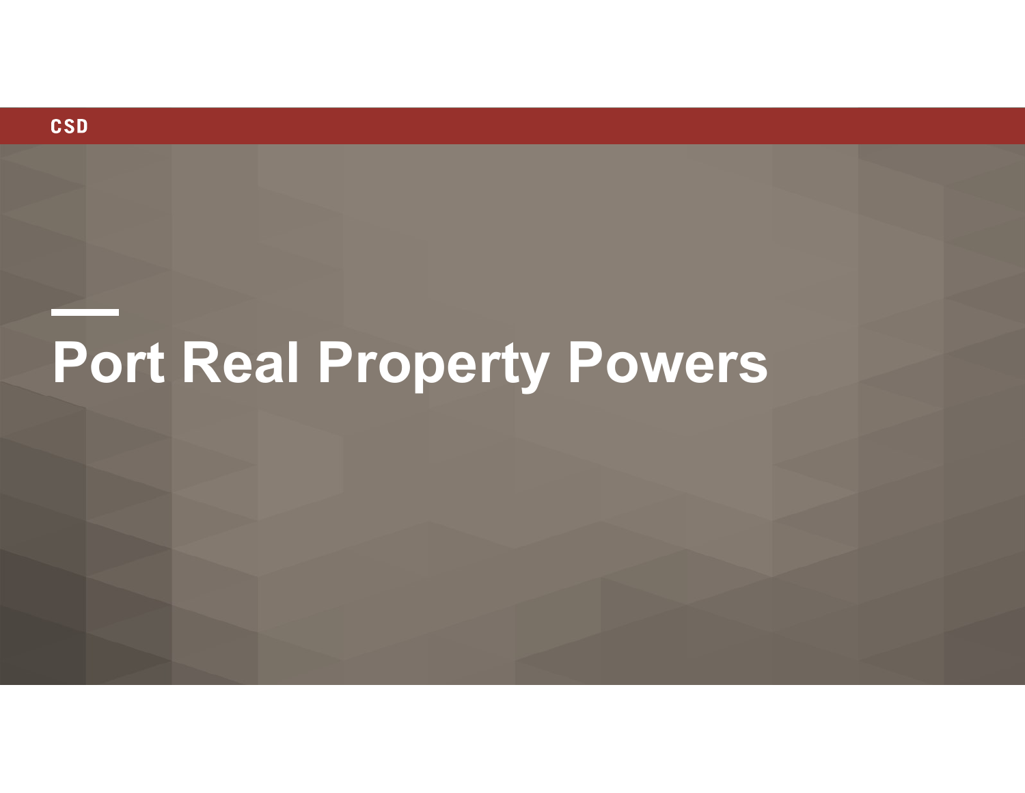

# Port Real Property Powers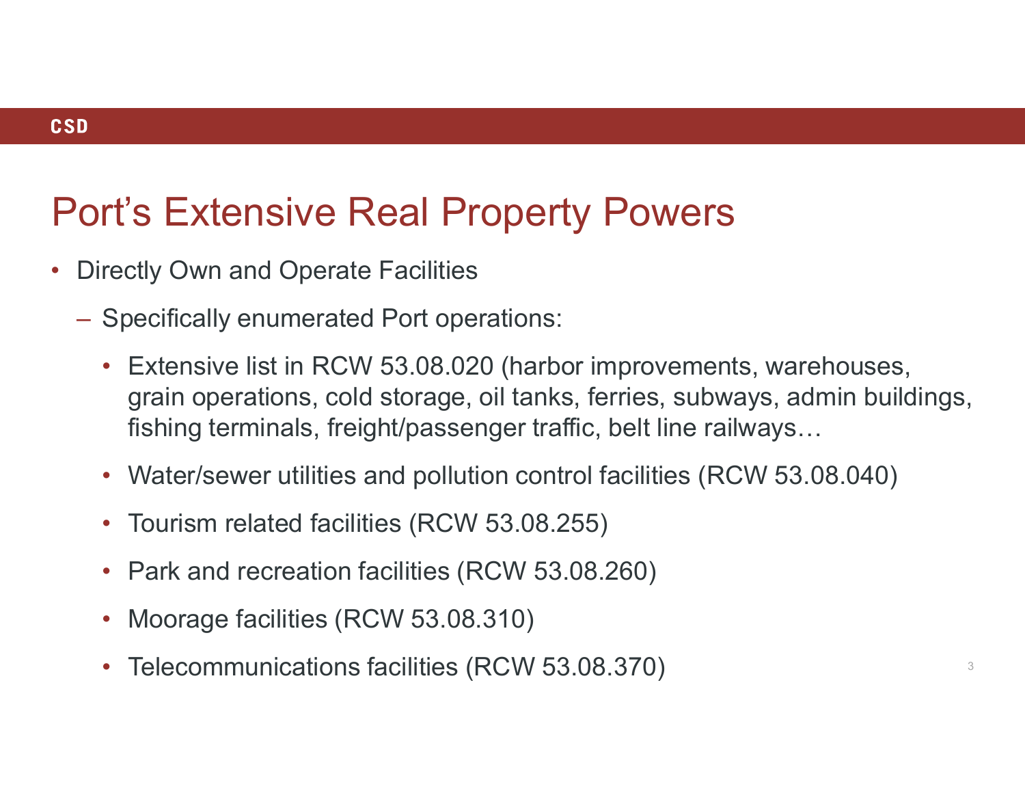### **CSD**

- Directly Own and Operate Facilities
	- Specifically enumerated Port operations:
		- Extensive list in RCW 53.08.020 (harbor improvements, warehouses, grain operations, cold storage, oil tanks, ferries, subways, admin buildings, fishing terminals, freight/passenger traffic, belt line railways…
		- Water/sewer utilities and pollution control facilities (RCW 53.08.040)
		- Tourism related facilities (RCW 53.08.255)
		- Park and recreation facilities (RCW 53.08.260)
		- Moorage facilities (RCW 53.08.310)
		- Telecommunications facilities (RCW 53.08.370)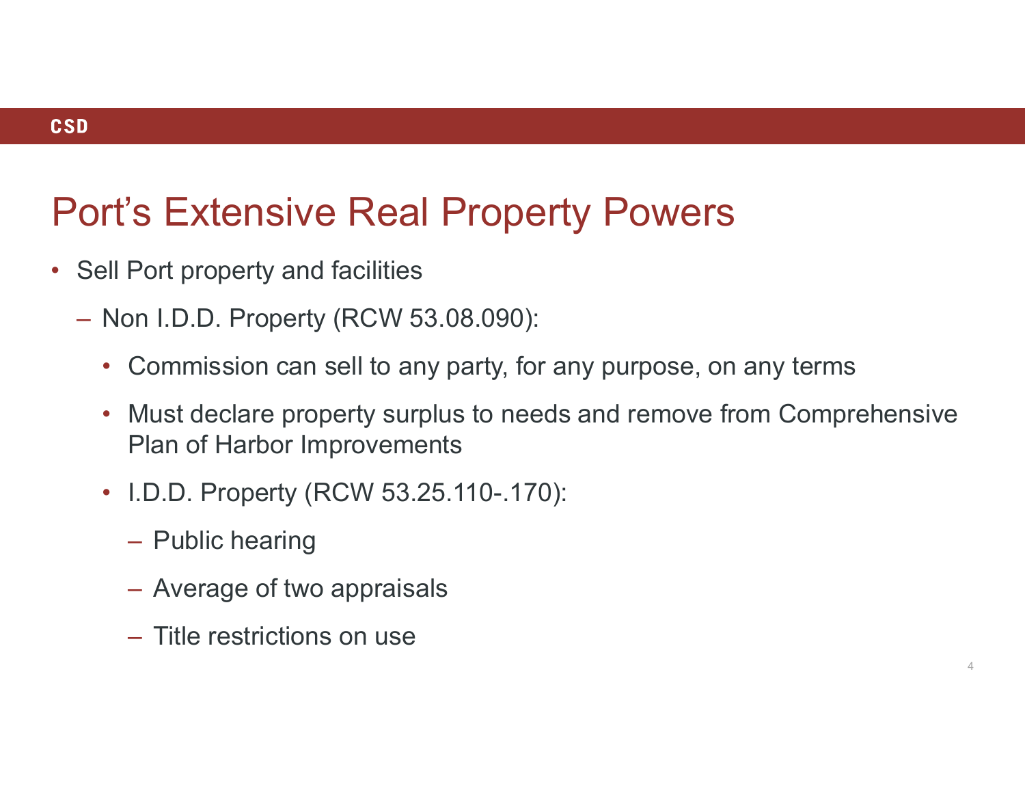### **CSD**

- Sell Port property and facilities
	- Non I.D.D. Property (RCW 53.08.090):
		- Commission can sell to any party, for any purpose, on any terms
		- Must declare property surplus to needs and remove from Comprehensive Plan of Harbor Improvements
		- I.D.D. Property (RCW 53.25.110-.170):
			- Public hearing
			- Average of two appraisals
			- Title restrictions on use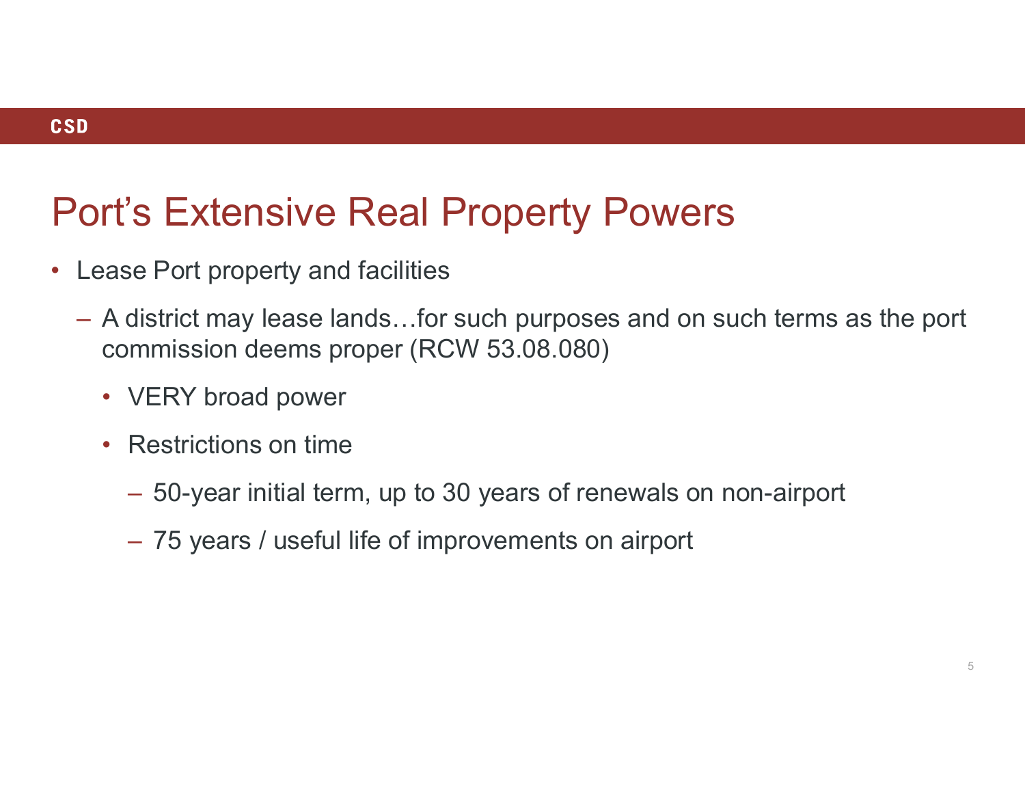- Lease Port property and facilities
	- A district may lease lands…for such purposes and on such terms as the port commission deems proper (RCW 53.08.080)
		- VERY broad power
		- Restrictions on time
			- 50-year initial term, up to 30 years of renewals on non-airport 75 years / useful life of improvements on airport
			-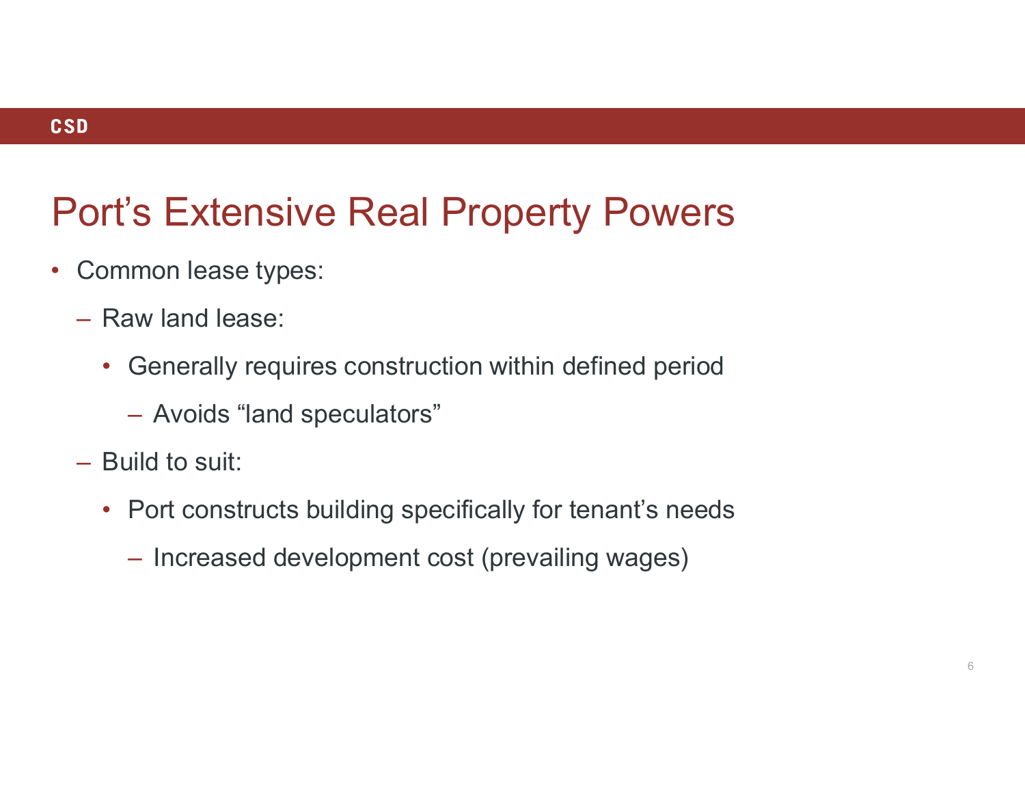- Common lease types:
	- Raw land lease:
		- Generally requires construction within defined period
			- Avoids "land speculators"
	- Build to suit:
		- Port constructs building specifically for tenant's needs
			- Increased development cost (prevailing wages)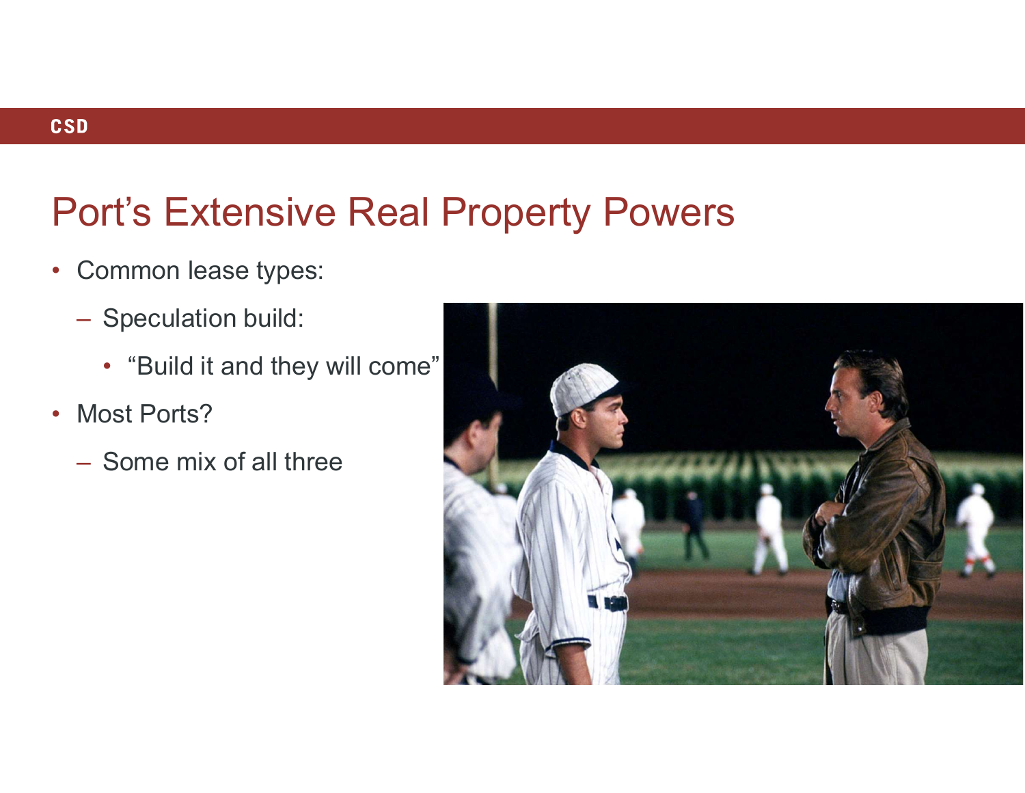- Common lease types:
	- Speculation build:
		- "Build it and they will come"
- Most Ports?
	- Some mix of all three

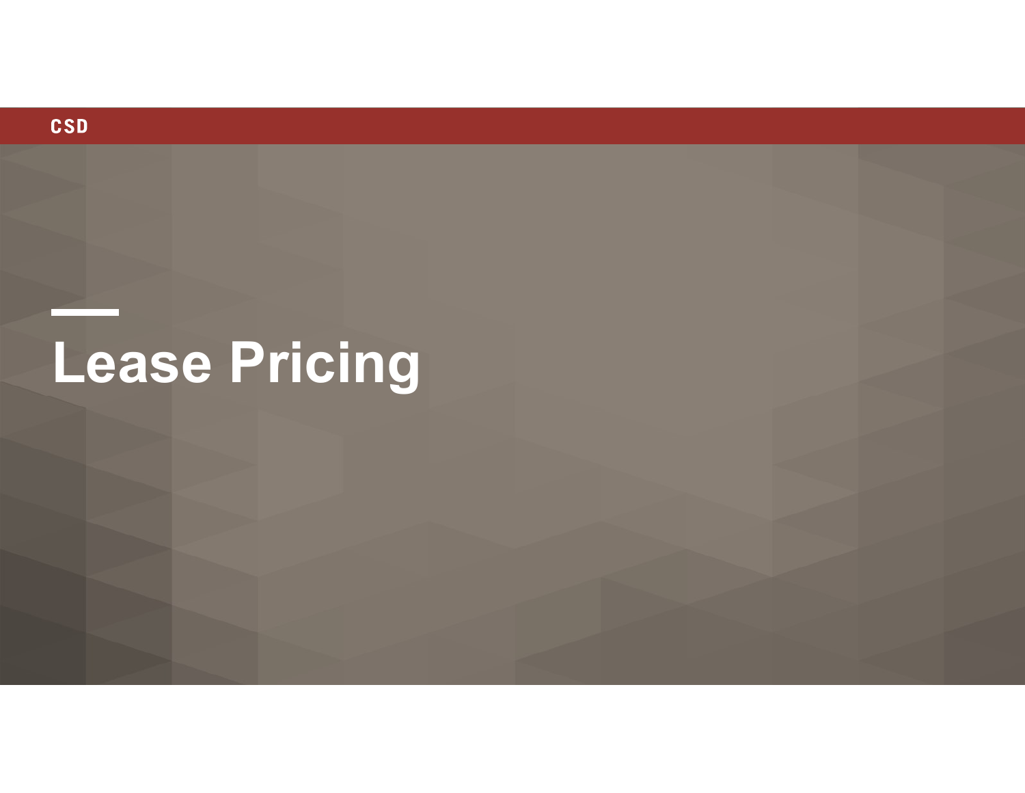

# Lease Pricing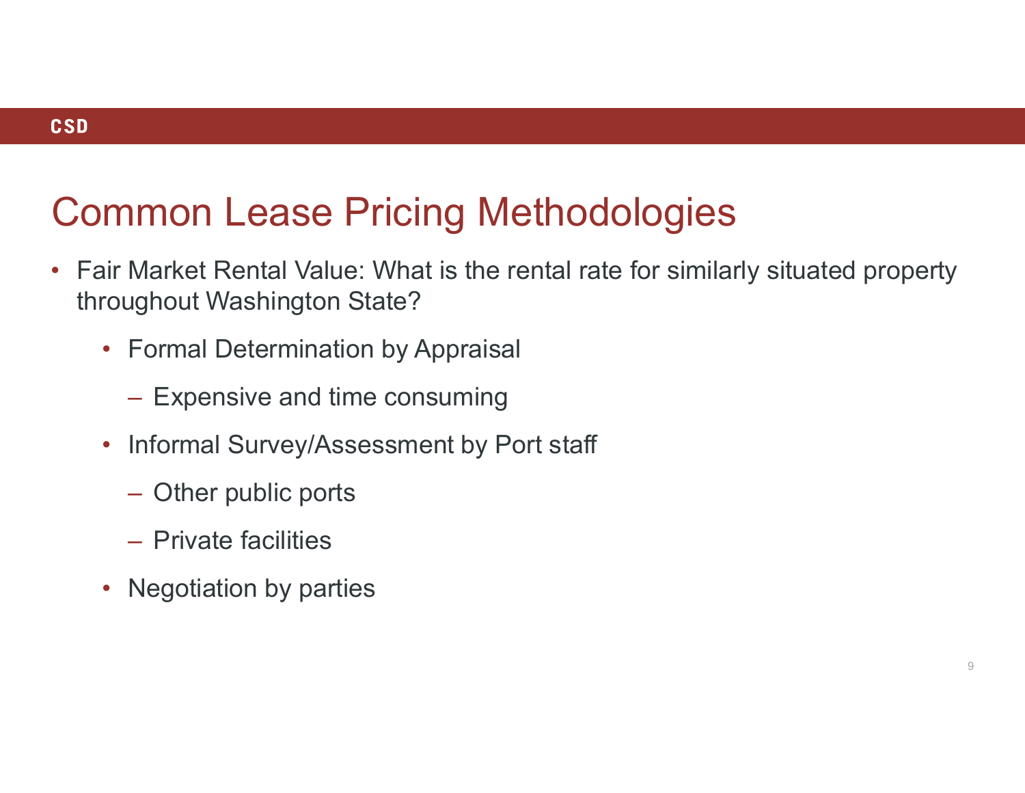### Common Lease Pricing Methodologies

- Fair Market Rental Value: What is the rental rate for similarly situated property throughout Washington State?
	- Formal Determination by Appraisal Expensive and time consuming
		-
	- Informal Survey/Assessment by Port staff<br>
	 Other public ports
		-
		- Private facilities
	- Negotiation by parties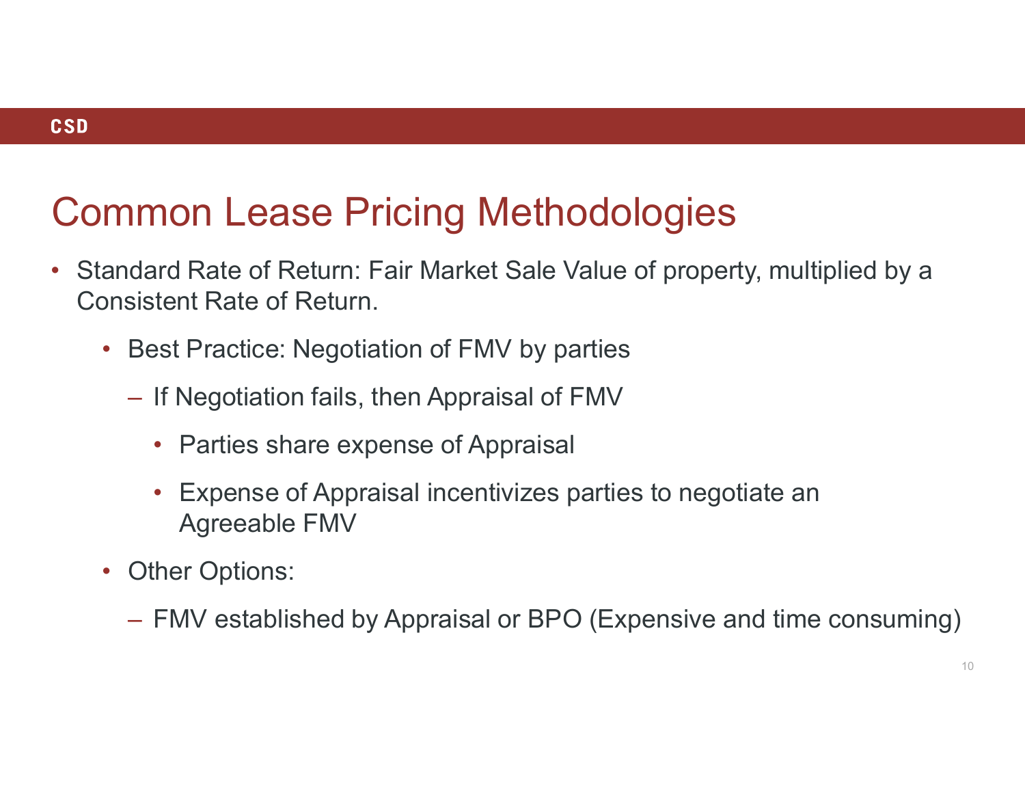### Common Lease Pricing Methodologies

- Standard Rate of Return: Fair Market Sale Value of property, multiplied by a Consistent Rate of Return.
	- Best Practice: Negotiation of FMV by parties
		- If Negotiation fails, then Appraisal of FMV
			- Parties share expense of Appraisal
- Expense of Appraisal incentivizes parties to negotiate an Agreeable FMV Sistent Rate of Return.<br>
Hest Practice: Negotiation of FMV by parties<br>
- If Negotiation fails, then Appraisal of FMV<br>
- Parties share expense of Appraisal<br>
- Expense of Appraisal incentivizes parties to negotiate an<br>
Agree
	- Other Options:
		-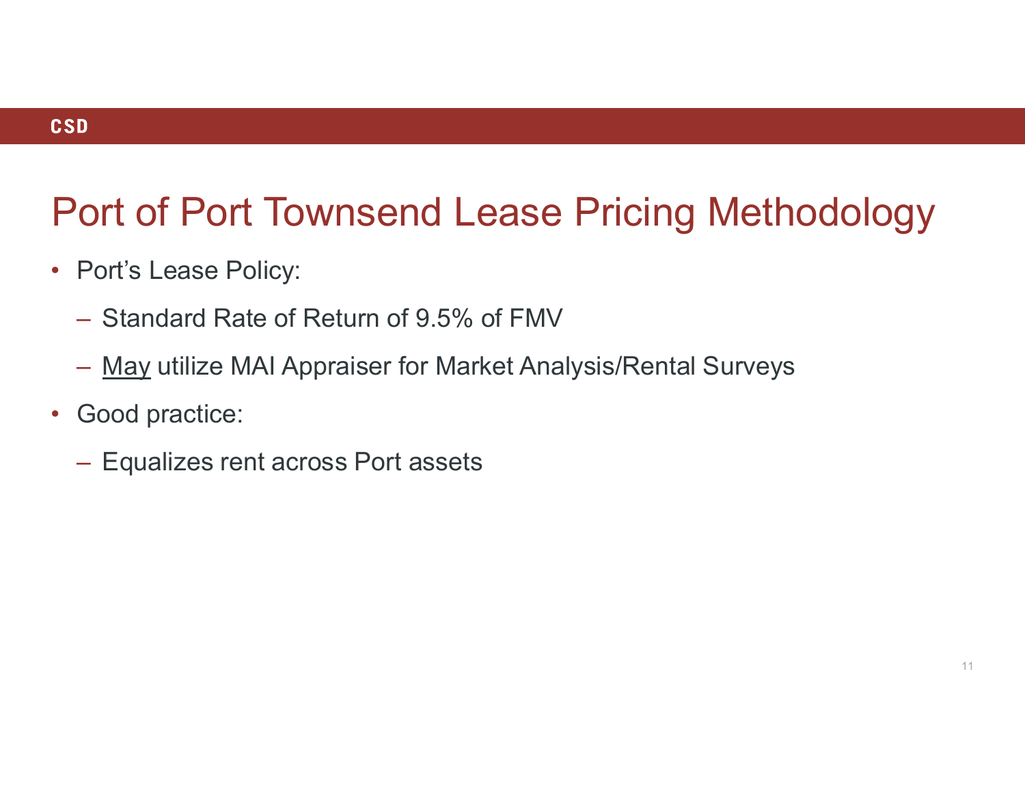# Port of Port Townsend Lease Pricing Methodology ort of Port Townsend Lease Pricing Methodology<br>Port's Lease Policy:<br>— Standard Rate of Return of 9.5% of FMV<br>— <u>May</u> utilize MAI Appraiser for Market Analysis/Rental Surveys<br>Good practice:

- Port's Lease Policy:
	- Standard Rate of Return of 9.5% of FMV
	-
- Good practice:
	- Equalizes rent across Port assets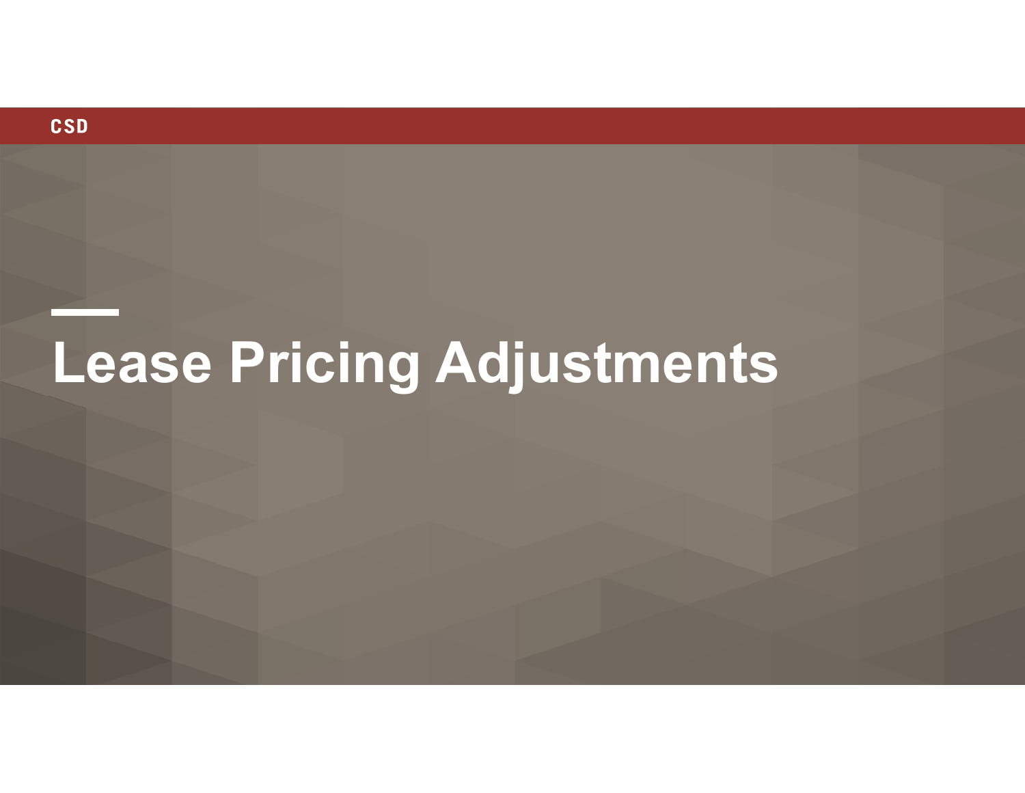

## Lease Pricing Adjustments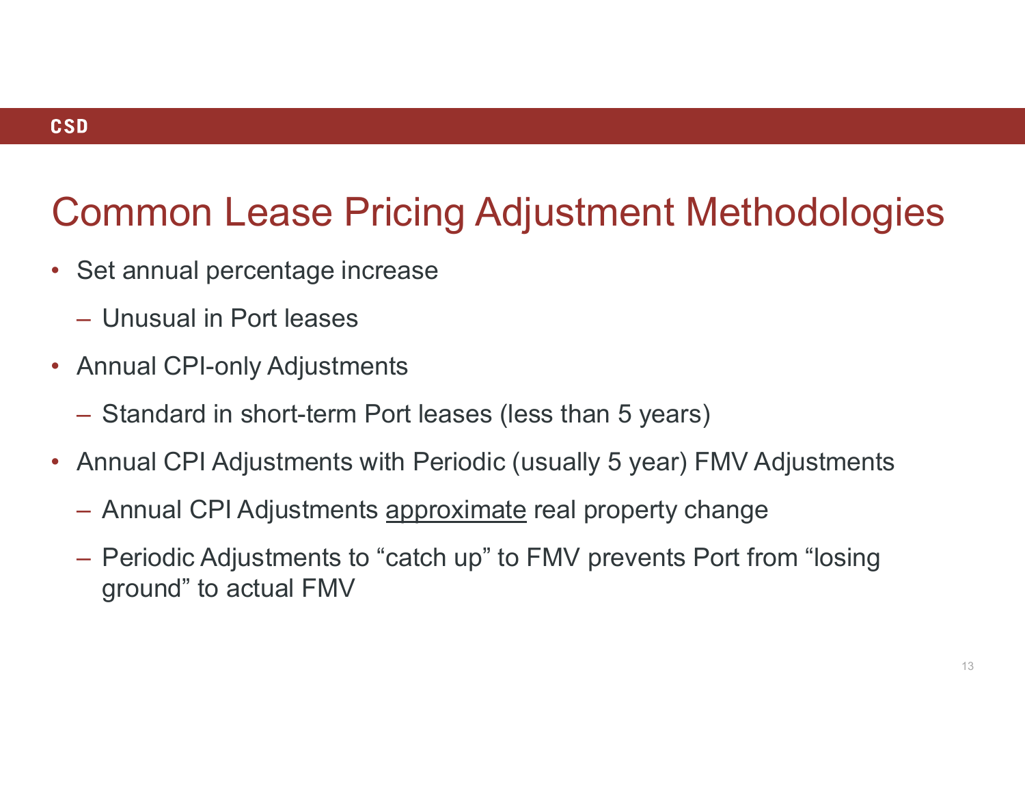### Common Lease Pricing Adjustment Methodologies

- Set annual percentage increase
	- Unusual in Port leases
- Annual CPI-only Adjustments
	- Standard in short-term Port leases (less than 5 years)
- -
- Annual CPI Adjustment Methodologies<br>• Set annual percentage increase<br>• Annual CPI-only Adjustments<br>• Standard in short-term Port leases (less than 5 years)<br>• Annual CPI Adjustments with Periodic (usually 5 year) FMV Adju – Periodic Adjustments to "catch up" to FMV prevents Port from "losing ground" to actual FMV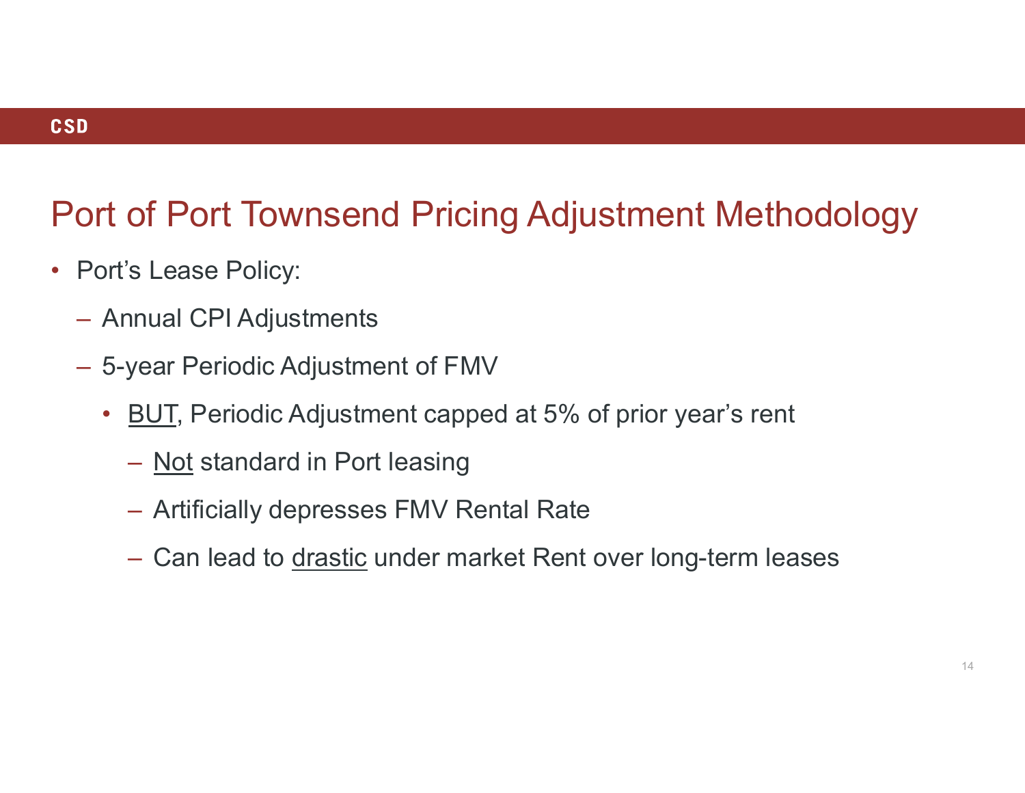# Port of Port Townsend Pricing Adjustment Methodology of Port Townsend Pricing Adjustmen<br>
is Lease Policy:<br>
Inual CPI Adjustments<br>
year Periodic Adjustment of FMV<br>
<u>BUT,</u> Periodic Adjustment capped at 5% of prior ye<br>
— <u>Not</u> standard in Port leasing<br>
— Artificially depresses of Port Townsend Pricing Adjustment Methodolo<br>
S Lease Policy:<br>
Inual CPI Adjustments<br>
year Periodic Adjustment of FMV<br>
<u>BUT</u>, Periodic Adjustment capped at 5% of prior year's rent<br>
— <u>Not</u> standard in Port leasing<br>— Artif

- Port's Lease Policy:
	- Annual CPI Adjustments
	- 5-year Periodic Adjustment of FMV
		- BUT, Periodic Adjustment capped at 5% of prior year's rent
			-
			-
- S. Lease Policy:<br>
S. Lease Policy:<br>
Inual CPI Adjustments<br>
year Periodic Adjustment of FMV<br>
<u>BUT</u>, Periodic Adjustment capped at 5% of prior year's rent<br>
 <u>Not</u> standard in Port leasing<br>
 Artificially depresses FMV Renta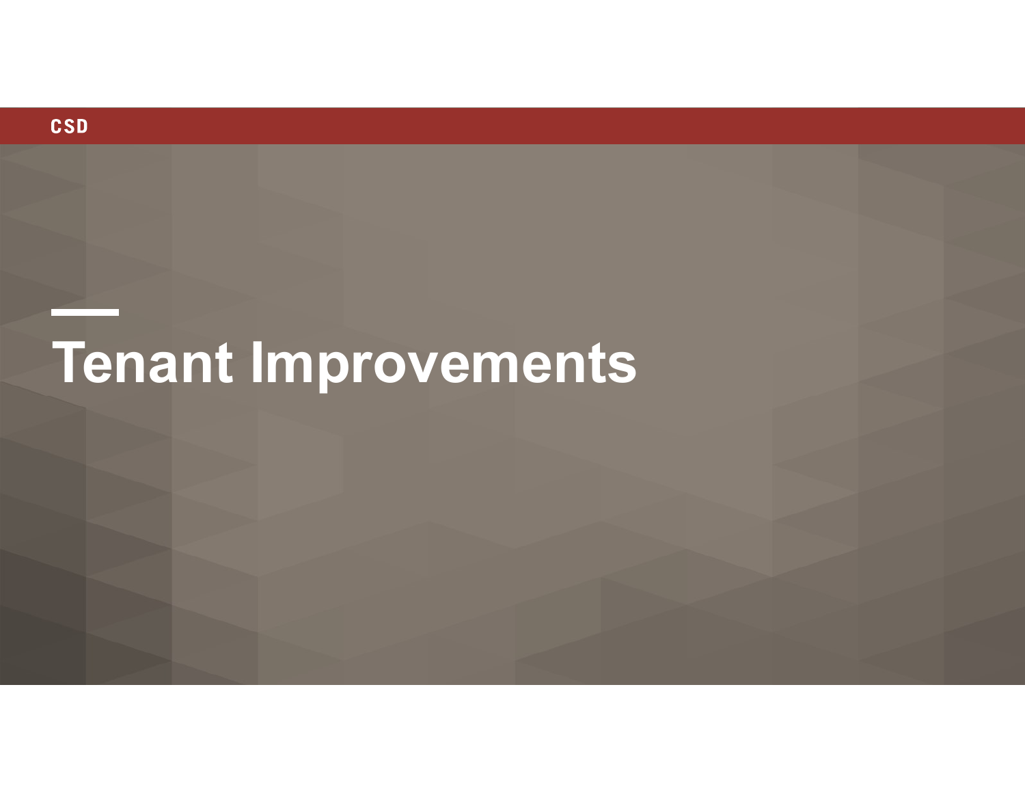

# Tenant Improvements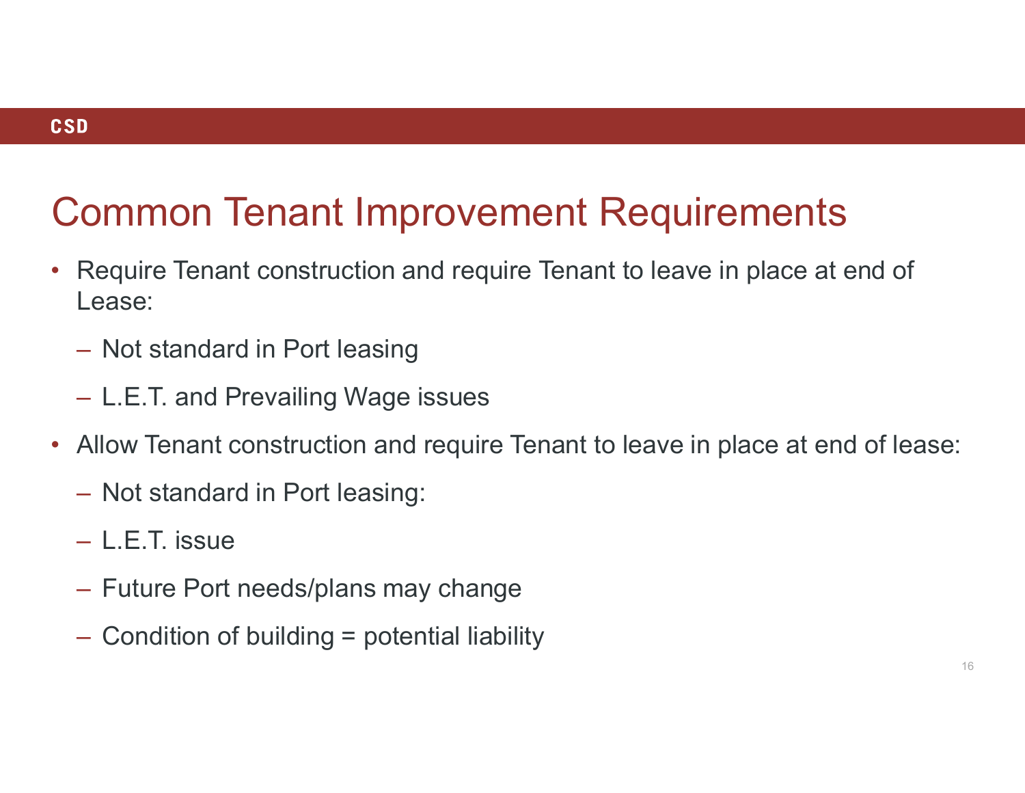### Common Tenant Improvement Requirements

- Require Tenant construction and require Tenant to leave in place at end of Lease:
	- Not standard in Port leasing
	- L.E.T. and Prevailing Wage issues
- Allow Tenant construction and require Tenant to leave in place at end of lease:
	- Not standard in Port leasing:
	- L.E.T. issue
	- Future Port needs/plans may change
	- Condition of building = potential liability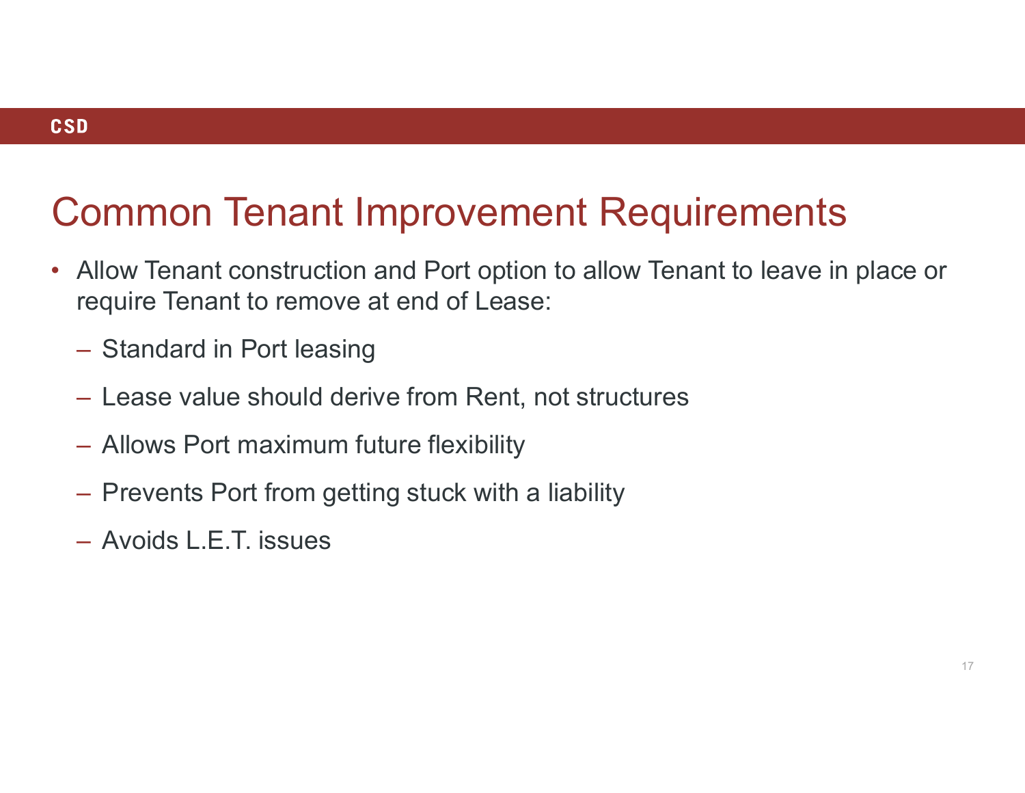### **CSD**

### Common Tenant Improvement Requirements

- Allow Tenant construction and Port option to allow Tenant to leave in place or require Tenant to remove at end of Lease:
	- Standard in Port leasing
	- Lease value should derive from Rent, not structures
	- Allows Port maximum future flexibility
	- Prevents Port from getting stuck with a liability
	- Avoids L.E.T. issues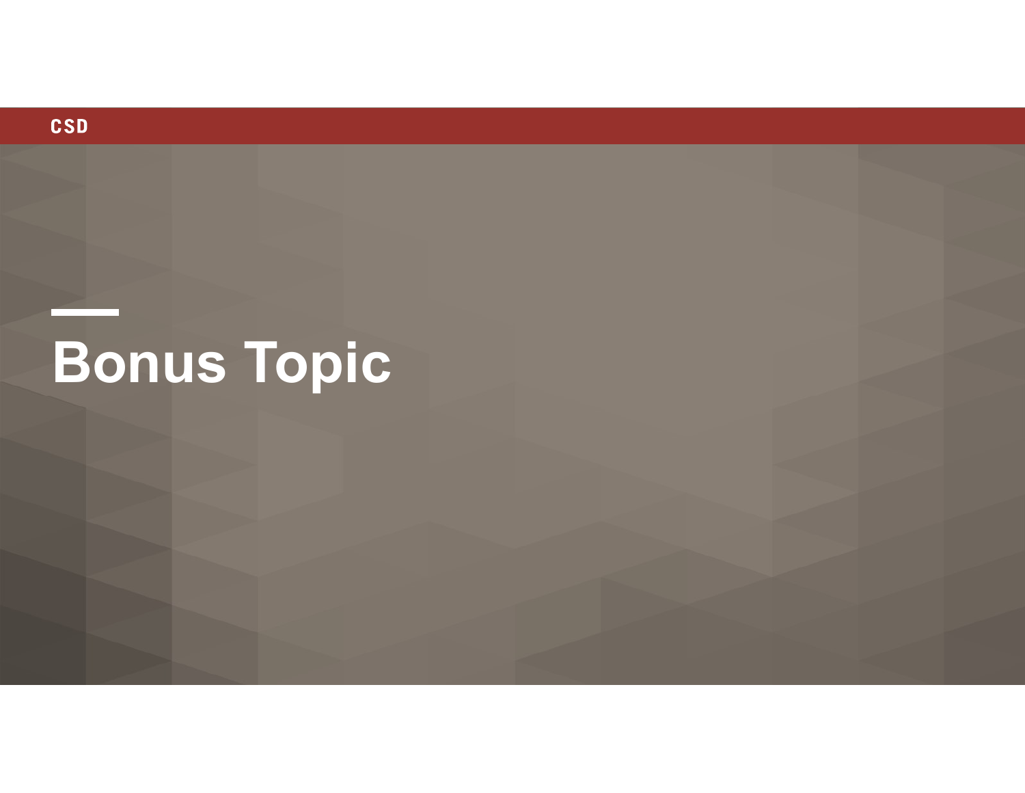

- 1

# Bonus Topic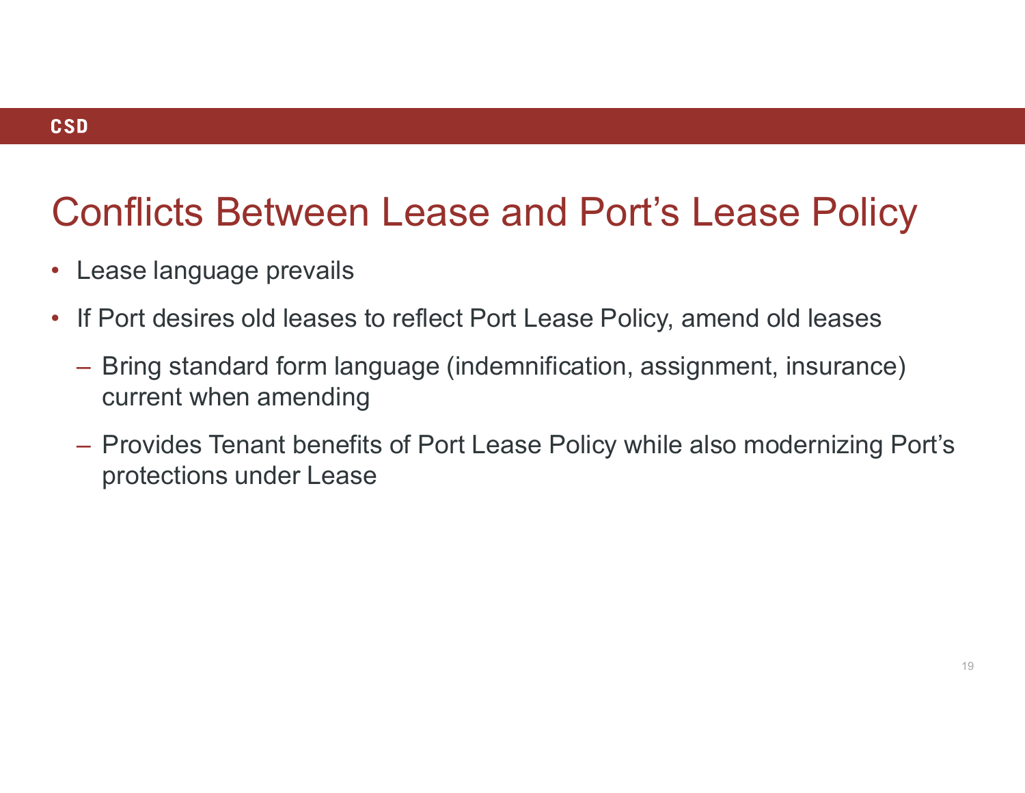### Conflicts Between Lease and Port's Lease Policy

- Lease language prevails
- If Port desires old leases to reflect Port Lease Policy, amend old leases
	- Bring standard form language (indemnification, assignment, insurance) current when amending
	- Provides Tenant benefits of Port Lease Policy while also modernizing Port's protections under Lease